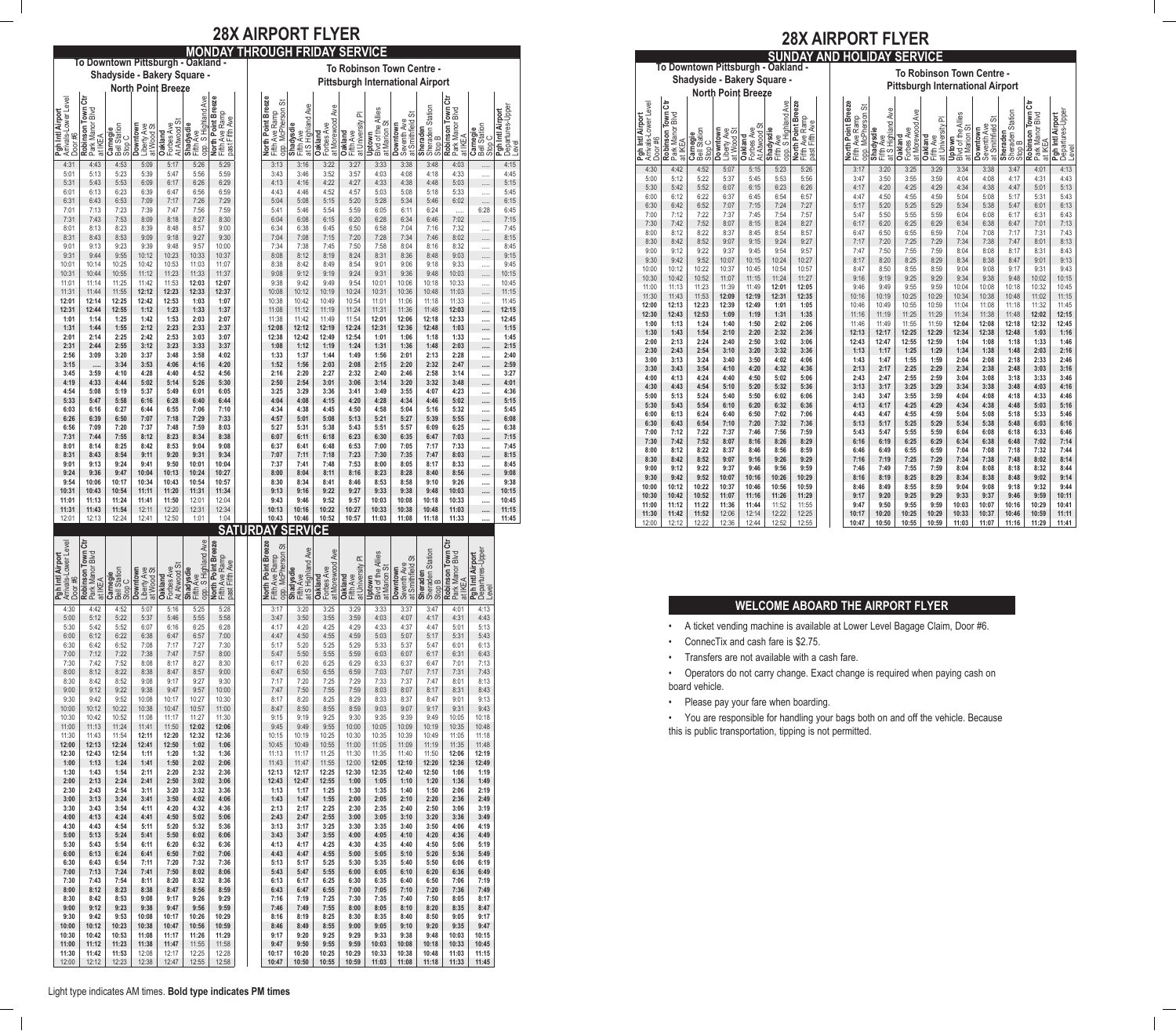**To Downtown Pittsburgh - Oakland - To Robinson Town Centre - Shadyside - Bakery Square - Pittsburgh International Airport North Point Breeze** | Airport<br>|Lower Level opp. S Highland Ave<br>**North Point Breeze**<br>Fifth Ave Ramp<br>past Fifth Ave ま **Robinson Town Ctr Robinson Town Ctr** Arrivals-Lower Level opp. S Highland Ave **North Point Breeze North Point Breeze** opp. McPherson St Departures-Upper **Airport**<br>res-Upper at S Highland Ave Town<br>- Blvd at Morewood Ave Sheraden Station nson Town<br>Manor Blvd Point Bre **Pgh Intl Airport** Park Manor Blvd Blvd of the Allies Park Manor Blvd **Pgh Intl Airport** Fifth Ave Ramp Fifth Ave Ramp at Smithfield St at University Pl past Fifth Ave At Atwood St Seventh Ave at Marion St Forbes Ave Forbes Ave Bell Station **Downtown** Liberty Ave at Wood St **Shadysdie Shadysdie Downtown** Bell Station **Sheraden Carnegie** Stop C **Carnegie** Fifth Ave **Oakland Oakland Oakland** Fifth Ave Door #6 **Uptown** at IKEA at IKEA Stop C Stop B Level Pan 4:31 | 4:43 | 4:53 | 5:09 | 5:17 | 5:26 | 5:29 | | | 3:13 | 3:16 | 3:22 | 3:27 | 3:33 | 3:38 | 3:48 | 4:03 | ..... | 4:15 5:01 | 5:13 | 5:23 | 5:39 | 5:47 | 5:56 | 5:59 | | | 3:43 | 3:46 | 3:52 | 3:57 | 4:03 | 4:08 | 4:18 | 4:18 | 4:33 | ..... | 4:45 5:31 5:43 5:53 6:09 6:17 6:26 6:29 4:13 4:16 4:22 4:27 4:33 4:38 4:48 5:03 ..... 5:15 6:01 6:13 6:23 6:39 6:47 6:56 6:59 4:43 4:46 4:52 4:57 5:03 5:08 5:18 5:33 ..... 5:45 6:31 | 6:43 | 6:53 | 7:09 | 7:17 | 7:26 | 7:29 | | | | 5:04 | 5:08 | 5:15 | 5:20 | 5:28 | 5:34 | 5:46 | 6:02 | ..... | 6:15 7:01 | 7:13 | 7:23 | 7:39 | 7:47 | 7:56 | 7:59 | | | 5:41 | 5:46 | 5:54 | 5:59 | 6:05 | 6:11 | 6:24 | ..... | 6:28 | 6:45 7:31 7:43 7:53 8:09 8:18 8:27 8:30 6:04 6:08 6:15 6:20 6:28 6:34 6:46 7:02 ..... 7:15 8:01 | 8:13 | 8:23 | 8:39 | 8:48 | 8:57 | 9:00 | | | 6:34 | 6:38 | 6:45 | 6:50 | 6:58 | 7:04 | 7:16 | 7:32 | ..... | 7:45 8:31 | 8:43 | 8:53 | 9:09 | 9:18 | 9:27 | 9:30 | | | 7:04 | 7:08 | 7:15 | 7:20 | 7:28 | 7:34 | 7:46 | 8:02 | …… | 8:15 9:01 | 9:13 | 9:23 | 9:39 | 9:48 | 9:57 | 10:00 | | | 7:34 | 7:38 | 7:45 | 7:50 | 7:58 | 8:04 | 8:16 | 8:32 | ..... | 8:45 9:31 | 9:44 | 9:55 | 10:12 | 10:23 | 10:33 | 10:37 | | | | | 8:08 | 8:12 | | 8:19 | | 8:24 | | 8:36 | | 8:48 | 9:03 | ..... | 9:15 10:01 | 10:14 | 10:25 | 10:42 | 10:53 | 11:03 | 11:07 | | | | 8:38 | 8:42 | 8:49 | 8:54 | 9:01 | 9:06 | 9:18 | 9:33 | …… | 9:45 10:31 | 10:44 | 10:55 | 11:12 | 11:23 | 11:33 | 11:37 | | | 9:08 | 9:12 | 9:19 | 9:24 | 9:36 | 9:36 | 9:48 | 10:03 | …… | 10:15 11:01 11:14 11:25 11:42 11:53 **12:03 12:07** 9:38 9:42 9:49 9:54 10:01 10:06 10:18 10:33 ..... 10:45 11:31 11:44 11:55 **12:12 12:23 12:33 12:37** 10:08 10:12 10:19 10:24 10:31 10:36 10:48 11:03 ..... 11:15 **12:01 12:14 12:25 12:42 12:53 1:03 1:07** 10:38 10:42 10:49 10:54 11:01 11:06 11:18 11:33 ..... 11:45 **12:31 12:44 12:55 1:12 1:23 1:33 1:37** 11:08 11:12 11:19 11:24 11:31 11:36 11:48 **12:03 ..... 12:15 1:01 1:14 1:25 1:42 1:53 2:03 2:07** 11:38 11:42 11:49 11:54 **12:01 12:06 12:18 12:33 ..... 12:45 1:31 1:44 1:55 2:12 2:23 2:33 2:37 12:08 12:12 12:19 12:24 12:31 12:36 12:48 1:03 ..... 1:15 2:01 2:14 2:25 2:42 2:53 3:03 3:07 12:38 12:42 12:49 12:54 1:01 1:06 1:18 1:33 ..... 1:45 2:31 2:44 2:55 3:12 3:23 3:33 3:37 1:08 1:12 1:19 1:24 1:31 1:36 1:48 2:03 ..... 2:15 2:56 3:09 3:20 3:37 3:48 3:58 4:02 1:33 1:37 1:44 1:49 1:56 2:01 2:13 2:28 ..... 2:40 3:15 ..... 3:34 3:53 4:06 4:16 4:20 1:52 1:56 2:03 2:08 2:15 2:20 2:32 2:47 ..... 2:59 3:45 3:59 4:10 4:28 4:40 4:52 4:56 2:16 2:20 2:27 2:32 2:40 2:46 2:58 3:14 ..... 3:27 4:19 4:33 4:44 5:02 5:14 5:26 5:30 2:50 2:54 3:01 3:06 3:14 3:20 3:32 3:48 ..... 4:01 4:54 5:08 5:19 5:37 5:49 6:01 6:05 3:25 3:29 3:36 3:41 3:49 3:55 4:07 4:23 ..... 4:36 5:33 5:47 5:58 6:16 6:28 6:40 6:44 4:04 4:08 4:15 4:20 4:28 4:34 4:46 5:02 ..... 5:15 6:03 6:16 6:27 6:44 6:55 7:06 7:10 4:34 4:38 4:45 4:50 4:58 5:04 5:16 5:32 ..... 5:45 6:26 6:39 6:50 7:07 7:18 7:29 7:33 4:57 5:01 5:08 5:13 5:21 5:27 5:39 5:55 ..... 6:08 6:56 7:09 7:20 7:37 7:48 7:59 8:03 5:27 5:31 5:38 5:43 5:51 5:57 6:09 6:25 ..... 6:38 7:31 7:44 7:55 8:12 8:23 8:34 8:38 6:07 6:11 6:18 6:23 6:30 6:35 6:47 7:03 ..... 7:15 8:01 8:14 8:25 8:42 8:53 9:04 9:08 6:37 6:41 6:48 6:53 7:00 7:05 7:17 7:33 ..... 7:45 8:31 8:43 8:54 9:11 9:20 9:31 9:34 7:07 7:11 7:18 7:23 7:30 7:35 7:47 8:03 ..... 8:15 9:01 9:13 9:24 9:41 9:50 10:01 10:04 7:37 7:41 7:48 7:53 8:00 8:05 8:17 8:33 ..... 8:45 9:24 9:36 9:47 10:04 10:13 10:24 10:27 8:00 8:04 8:11 8:16 8:23 8:28 8:40 8:56 ..... 9:08 9:54 10:06 10:17 10:34 10:43 10:54 10:57 8:30 8:34 8:41 8:46 8:53 8:58 9:10 9:26 ..... 9:38 10:31 10:43 10:54 11:11 11:20 11:31 11:34 9:13 9:16 9:22 9:27 9:33 9:38 9:48 10:03 ..... 10:15 11:01 11:13 11:24 11:41 11:50** 12:01 12:04 **9:43 9:46 9:52 9:57 10:03 10:08 10:18 10:33 ..... 10:45 11:31 11:43 11:54** 12:11 12:20 12:31 12:34 **10:13 10:16 10:22 10:27 10:33 10:38 10:48 11:03 ..... 11:15** 12:01 12:13 12:24 12:41 12:50 1:01 1:04 **10:43 10:46 10:52 10:57 11:03 11:08 11:18 11:33 ..... 11:45 SATURDAY SERVICE** ١ä ්ටි ਨੌ

## **28X AIRPORT FLYER MONDAY THROUGH FRIDAY SERVICE**

**Robinson Town Ctr Robinson Town Ctr** Arrivals-Lower Level opp. S Highland Ave **North Point Breeze North Point Breeze** opp. McPherson St Departures-Upper Airport<br>Lower Le land Ave at S Highland Ave at Morewood Ave Sheraden Station **Pgh Intl Airport** Park Manor Blvd 읽음 Blvd of the Allies Park Manor Blvd **Pgh Intl Airport** Fifth Ave Ramp Fifth Ave Ramp at Smithfield St at University Pl past Fifth Ave At Atwood St Seventh Ave at Marion St Forbes Ave Forbes Ave Bell Station **Downtown** Liberty Ave **Oakland** at Wood St **Shadysdie Shadysdie** Fifth Ave **Oakland Downtown Sheraden**<br>Sheraden<br>Stop B<br>Robinson<br>Pgh Intl A<br>Pgh Intl A<br>Departure **Carnegie** Stop C **Oakland** Fifth Ave **Uptown** Door #6<br>**Robins**<br>Park Me<br>at IKEA Fifth Av<br>Opp - S<br>D**orth I**<br>Eiter Bast Fil<br>Dast Fil North<br>Fifth A<br>Opp. M 4:30 | 4:42 | 4:52 | 5:07 | 5:16 | 5:25 | 5:28 | | | 3:17 | 3:20 | 3:25 | 3:29 | 3:33 | 3:37 | 3:47 | 4:01 | 4:13 5:00 | 5:12 | 5:22 | 5:37 | 5:46 | 5:55 | 5:58 | | | 3:47 | 3:50 | 3:55 | 3:59 | 4:03 | 4:07 | 4:17 | 4:31 | 4:43 5:30 5:42 5:52 6:07 6:16 6:25 6:28 4:17 4:20 4:25 4:29 4:33 4:37 4:47 5:01 5:13 6:00 6:12 6:22 6:38 6:47 6:57 7:00 4:47 4:50 4:55 4:59 5:03 5:07 5:17 5:31 5:43 6:30 | 6:42 | 6:52 | 7:08 | 7:17 | 7:27 | 7:30 | | | | 5:17 | 5:20 | 5:25 | 5:29 | 5:33 | 5:37 | 5:47 | 6:01 | 6:13 7:00 7:12 7:22 7:38 7:47 7:57 8:00 5:47 5:50 5:55 5:59 6:03 6:07 6:17 6:31 6:43 7:30 | 7:42 | 7:52 | 8:08 | 8:17 | 8:27 | 8:30 | | | | 6:17 | 6:20 | 6:25 | 6:29 | 6:33 | 6:37 | 6:47 | 7:01 | 7:13 8:00 | 8:12 | 8:22 | 8:38 | 8:47 | 8:57 | 9:00 | | | | 6:47 | 6:50 | 6:55 | 6:59 | 7:03 | 7:07 | 7:17 | 7:31 | 7:43 8:30 | 8:42 | 8:52 | 9:08 | 9:17 | 9:27 | 9:30 | | | 7:17 | 7:20 | 7:25 | 7:29 | 7:33 | 7:37 | 7:47 | 8:01 | 8:13 9:00 | 9:12 | 9:22 | 9:38 | 9:47 | 9:57 | 10:00 | | | 7:47 | 7:50 | 7:55 | 7:59 | 8:03 | 8:07 | 8:17 | 8:31 | 8:43 9:30 | 9:42 | 9:52 | 10:08 | 10:17 | 10:27 | 10:30 | | | 8:17 | 8:20 | 8:29 | 8:29 | 8:33 | 8:37 | 8:47 | 9:01 | 9:13 10:00 | 10:12 | 10:22 | 10:38 | 10:47 | 10:57 | 11:00 | | | 8:47 | 8:50 | 8:55 | 8:59 | 9:03 | 9:07 | 9:17 | 9:43 | 9:43 10:30 | 10:42 | 10:52 | 11:08 | 11:17 | 11:27 | 11:30 | | | 9:15 | 9:19 | 9:25 | 9:30 | 9:35 | 9:39 | 9:49 | 10:05 | 10:18 11:00 11:13 11:24 11:41 11:50 **12:02 12:06** 9:45 9:49 9:55 10:00 10:05 10:09 10:19 10:35 10:48 11:30 11:43 11:54 **12:11 12:20 12:32 12:36** 10:15 10:19 10:25 10:30 10:35 10:39 10:49 11:05 11:18 **12:00 12:13 12:24 12:41 12:50 1:02 1:06** 10:45 10:49 10:55 11:00 11:05 11:09 11:19 11:35 11:48 **12:30 12:43 12:54 1:11 1:20 1:32 1:36** 11:13 11:17 11:25 11:30 11:35 11:40 11:50 **12:06 12:19 1:00 1:13 1:24 1:41 1:50 2:02 2:06** 11:43 11:47 11:55 12:00 **12:05 12:10 12:20 12:36 12:49 1:30 1:43 1:54 2:11 2:20 2:32 2:36 12:13 12:17 12:25 12:30 12:35 12:40 12:50 1:06 1:19 2:00 2:13 2:24 2:41 2:50 3:02 3:06 12:43 12:47 12:55 1:00 1:05 1:10 1:20 1:36 1:49 2:30 2:43 2:54 3:11 3:20 3:32 3:36 1:13 1:17 1:25 1:30 1:35 1:40 1:50 2:06 2:19 3:00 3:13 3:24 3:41 3:50 4:02 4:06 1:43 1:47 1:55 2:00 2:05 2:10 2:20 2:36 2:49 3:30 3:43 3:54 4:11 4:20 4:32 4:36 2:13 2:17 2:25 2:30 2:35 2:40 2:50 3:06 3:19 4:00 4:13 4:24 4:41 4:50 5:02 5:06 2:43 2:47 2:55 3:00 3:05 3:10 3:20 3:36 3:49 4:30 4:43 4:54 5:11 5:20 5:32 5:36 3:13 3:17 3:25 3:30 3:35 3:40 3:50 4:06 4:19 5:00 5:13 5:24 5:41 5:50 6:02 6:06 3:43 3:47 3:55 4:00 4:05 4:10 4:20 4:36 4:49 5:30 5:43 5:54 6:11 6:20 6:32 6:36 4:13 4:17 4:25 4:30 4:35 4:40 4:50 5:06 5:19 6:00 6:13 6:24 6:41 6:50 7:02 7:06 4:43 4:47 4:55 5:00 5:05 5:10 5:20 5:36 5:49 6:30 6:43 6:54 7:11 7:20 7:32 7:36 5:13 5:17 5:25 5:30 5:35 5:40 5:50 6:06 6:19 7:00 7:13 7:24 7:41 7:50 8:02 8:06 5:43 5:47 5:55 6:00 6:05 6:10 6:20 6:36 6:49 7:30 7:43 7:54 8:11 8:20 8:32 8:36 6:13 6:17 6:25 6:30 6:35 6:40 6:50 7:06 7:19 8:00 8:12 8:23 8:38 8:47 8:56 8:59 6:43 6:47 6:55 7:00 7:05 7:10 7:20 7:36 7:49 8:30 8:42 8:53 9:08 9:17 9:26 9:29 7:16 7:19 7:25 7:30 7:35 7:40 7:50 8:05 8:17 9:00 9:12 9:23 9:38 9:47 9:56 9:59 7:46 7:49 7:55 8:00 8:05 8:10 8:20 8:35 8:47 9:30 9:42 9:53 10:08 10:17 10:26 10:29 8:16 8:19 8:25 8:30 8:35 8:40 8:50 9:05 9:17 10:00 10:12 10:23 10:38 10:47 10:56 10:59 8:46 8:49 8:55 9:00 9:05 9:10 9:20 9:35 9:47 10:30 10:42 10:53 11:08 11:17 11:26 11:29 9:17 9:20 9:25 9:29 9:33 9:38 9:48 10:03 10:15 11:00 11:12 11:23 11:38 11:47** 11:55 11:58 **9:47 9:50 9:55 9:59 10:03 10:08 10:18 10:33 10:45 11:30 11:42 11:53** 12:08 12:17 12:25 12:28 **10:17 10:20 10:25 10:29 10:33 10:38 10:48 11:03 11:15** 12:00 12:12 12:23 12:38 12:47 12:55 12:58 **10:47 10:50 10:55 10:59 11:03 11:08 11:18 11:33 11:45**

# **28X AIRPORT FLYER**

| <b>SUNDAY AND HOLIDAY</b><br><b>SERVICE</b>              |                                                 |                                    |                                       |                                       |                                               |                                                        |  |                                                           |                                             |                                          |                                          |                                                     |                                             |                                        |                                                 |                                               |
|----------------------------------------------------------|-------------------------------------------------|------------------------------------|---------------------------------------|---------------------------------------|-----------------------------------------------|--------------------------------------------------------|--|-----------------------------------------------------------|---------------------------------------------|------------------------------------------|------------------------------------------|-----------------------------------------------------|---------------------------------------------|----------------------------------------|-------------------------------------------------|-----------------------------------------------|
|                                                          | To Downtown Pittsburgh - Oakland -              |                                    |                                       |                                       |                                               |                                                        |  |                                                           |                                             |                                          |                                          |                                                     |                                             |                                        |                                                 |                                               |
|                                                          |                                                 |                                    |                                       |                                       |                                               |                                                        |  | To Robinson Town Centre -                                 |                                             |                                          |                                          |                                                     |                                             |                                        |                                                 |                                               |
| Shadyside - Bakery Square -<br><b>North Point Breeze</b> |                                                 |                                    |                                       |                                       |                                               |                                                        |  | <b>Pittsburgh International Airport</b>                   |                                             |                                          |                                          |                                                     |                                             |                                        |                                                 |                                               |
|                                                          |                                                 |                                    |                                       |                                       |                                               |                                                        |  |                                                           |                                             |                                          |                                          |                                                     |                                             |                                        |                                                 |                                               |
| Arrivals-Lower Level<br>Pgh Intl Airport<br>Door#6       | Robinson Town Ctr<br>Park Manor Blvd<br>at IKEA | Bell Station<br>Stop C<br>Carnegie | Downtown<br>Liberty Ave<br>at Wood St | At Atwood St<br>Forbes Ave<br>Oakland | opp. S Highland Ave<br>Shadysdie<br>Fifth Ave | North Point Breeze<br>Fifth Ave Ramp<br>past Fifth Ave |  | North Point Breeze<br>opp. McPherson St<br>Fifth Ave Ramp | at S Highland Ave<br>Shadysdie<br>Fifth Ave | at Morewood Ave<br>Forbes Ave<br>Oakland | at University Pl<br>Oakland<br>Fifth Ave | <b>Bivd of the Allies</b><br>at Marion St<br>Uptown | Seventh Ave<br>at Smithfield St<br>Downtown | Sheraden Station<br>Sheraden<br>Stop B | Robinson Town Ctr<br>Park Manor Blvd<br>at IKEA | Departures-Upper<br>Pgh Intl Airport<br>Level |
| 4:30                                                     | 4:42                                            | 4:52                               | 5:07                                  | 5:15                                  | 5:23                                          | 5:26                                                   |  | 3:17                                                      | 3:20                                        | 3:25                                     | 3:29                                     | 3:34                                                | 3:38                                        | 3:47                                   | 4:01                                            | 4:13                                          |
| 5:00                                                     | 5:12                                            | 5:22                               | 5:37                                  | 5:45                                  | 5:53                                          | 5:56                                                   |  | 3:47                                                      | 3:50                                        | 3:55                                     | 3:59                                     | 4:04                                                | 4:08                                        | 4:17                                   | 4:31                                            | 4:43                                          |
| 5:30                                                     | 5:42                                            | 5:52                               | 6:07                                  | 6:15                                  | 6:23                                          | 6:26                                                   |  | 4:17                                                      | 4:20                                        | 4:25                                     | 4:29                                     | 4:34                                                | 4:38                                        | 4:47                                   | 5:01                                            | 5:13                                          |
| 6:00                                                     | 6:12                                            | 6:22                               | 6:37                                  | 6:45                                  | 6:54                                          | 6:57                                                   |  | 4:47                                                      | 4:50                                        | 4:55                                     | 4:59                                     | 5:04                                                | 5:08                                        | 5:17                                   | 5:31                                            | 5:43                                          |
| 6:30                                                     | 6:42                                            | 6:52                               | 7:07                                  | 7:15                                  | 7:24                                          | 7:27                                                   |  | 5:17                                                      | 5:20                                        | 5:25                                     | 5:29                                     | 5:34                                                | 5:38                                        | 5:47                                   | 6:01                                            | 6:13                                          |
| 7:00                                                     | 7:12                                            | 7:22                               | 7:37                                  | 7:45                                  | 7:54                                          | 7:57                                                   |  | 5:47                                                      | 5:50                                        | 5:55                                     | 5:59                                     | 6:04                                                | 6:08                                        | 6:17                                   | 6:31                                            | 6:43                                          |
| 7:30                                                     | 7:42                                            | 7:52                               | 8:07                                  | 8:15                                  | 8:24                                          | 8:27                                                   |  | 6:17                                                      | 6:20                                        | 6:25                                     | 6:29                                     | 6:34                                                | 6:38                                        | 6:47                                   | 7:01                                            | 7:13                                          |
| 8:00                                                     | 8:12                                            | 8:22                               | 8:37                                  | 8:45                                  | 8:54                                          | 8:57                                                   |  | 6:47                                                      | 6:50                                        | 6:55                                     | 6:59                                     | 7:04                                                | 7:08                                        | 7:17                                   | 7:31                                            | 7:43                                          |
| 8:30                                                     | 8:42                                            | 8:52                               | 9:07                                  | 9:15                                  | 9:24                                          | 9:27                                                   |  | 7:17                                                      | 7:20                                        | 7:25                                     | 7:29                                     | 7:34                                                | 7:38                                        | 7:47                                   | 8:01                                            | 8:13                                          |
| 9:00                                                     | 9:12                                            | 9:22                               | 9:37                                  | 9:45                                  | 9:54                                          | 9:57                                                   |  | 7:47                                                      | 7:50                                        | 7:55                                     | 7:59                                     | 8:04                                                | 8:08                                        | 8:17                                   | 8:31                                            | 8:43                                          |
| 9:30                                                     | 9:42                                            | 9:52                               | 10:07                                 | 10:15                                 | 10:24                                         | 10:27                                                  |  | 8:17                                                      | 8:20                                        | 8:25                                     | 8:29                                     | 8:34                                                | 8:38                                        | 8:47                                   | 9:01                                            | 9:13                                          |
| 10:00                                                    | 10:12                                           | 10:22                              | 10:37                                 | 10:45                                 | 10:54                                         | 10:57                                                  |  | 8:47                                                      | 8:50                                        | 8:55                                     | 8:59<br>9:29                             | 9:04<br>9:34                                        | 9:08                                        | 9:17                                   | 9:31                                            | 9:43<br>10:15                                 |
| 10:30                                                    | 10:42<br>11:13                                  | 10:52                              | 11:07<br>11:39                        | 11:15                                 | 11:24                                         | 11:27<br>12:05                                         |  | 9:16<br>9:46                                              | 9:19                                        | 9:25                                     | 9:59                                     | 10:04                                               | 9:38<br>10:08                               | 9:48                                   | 10:02                                           |                                               |
| 11:00<br>11:30                                           | 11:43                                           | 11:23<br>11:53                     | 12:09                                 | 11:49<br>12:19                        | 12:01                                         | 12:35                                                  |  | 10:16                                                     | 9:49<br>10:19                               | 9:55                                     | 10:29                                    | 10:34                                               | 10:38                                       | 10:18<br>10:48                         | 10:32<br>11:02                                  | 10:45<br>11:15                                |
| 12:00                                                    | 12:13                                           | 12:23                              | 12:39                                 | 12:49                                 | 12:31<br>1:01                                 | 1:05                                                   |  | 10:46                                                     | 10:49                                       | 10:25<br>10:55                           | 10:59                                    | 11:04                                               | 11:08                                       | 11:18                                  | 11:32                                           | 11:45                                         |
| 12:30                                                    | 12:43                                           | 12:53                              | 1:09                                  | 1:19                                  | 1:31                                          | 1:35                                                   |  | 11:16                                                     | 11:19                                       | 11:25                                    | 11:29                                    | 11:34                                               | 11:38                                       | 11:48                                  | 12:02                                           | 12:15                                         |
| 1:00                                                     | 1:13                                            | 1:24                               | 1:40                                  | 1:50                                  | 2:02                                          | 2:06                                                   |  | 11:46                                                     | 11:49                                       | 11:55                                    | 11:59                                    | 12:04                                               | 12:08                                       | 12:18                                  | 12:32                                           | 12:45                                         |
| 1:30                                                     | 1:43                                            | 1:54                               | 2:10                                  | 2:20                                  | 2:32                                          | 2:36                                                   |  | 12:13                                                     | 12:17                                       | 12:25                                    | 12:29                                    | 12:34                                               | 12:38                                       | 12:48                                  | 1:03                                            | 1:16                                          |
| 2:00                                                     | 2:13                                            | 2:24                               | 2:40                                  | 2:50                                  | 3:02                                          | 3:06                                                   |  | 12:43                                                     | 12:47                                       | 12:55                                    | 12:59                                    | 1:04                                                | 1:08                                        | 1:18                                   | 1:33                                            | 1:46                                          |
| 2:30                                                     | 2:43                                            | 2:54                               | 3:10                                  | 3:20                                  | 3:32                                          | 3:36                                                   |  | 1:13                                                      | 1:17                                        | 1:25                                     | 1:29                                     | 1:34                                                | 1:38                                        | 1:48                                   | 2:03                                            | 2:16                                          |
| 3:00                                                     | 3:13                                            | 3:24                               | 3:40                                  | 3:50                                  | 4:02                                          | 4:06                                                   |  | 1:43                                                      | 1:47                                        | 1:55                                     | 1:59                                     | 2:04                                                | 2:08                                        | 2:18                                   | 2:33                                            | 2:46                                          |
| 3:30                                                     | 3:43                                            | 3:54                               | 4:10                                  | 4:20                                  | 4:32                                          | 4:36                                                   |  | 2:13                                                      | 2:17                                        | 2:25                                     | 2:29                                     | 2:34                                                | 2:38                                        | 2:48                                   | 3:03                                            | 3:16                                          |
| 4:00                                                     | 4:13                                            | 4:24                               | 4:40                                  | 4:50                                  | 5:02                                          | 5:06                                                   |  | 2:43                                                      | 2:47                                        | 2:55                                     | 2:59                                     | 3:04                                                | 3:08                                        | 3:18                                   | 3:33                                            | 3:46                                          |
| 4:30                                                     | 4:43                                            | 4:54                               | 5:10                                  | 5:20                                  | 5:32                                          | 5:36                                                   |  | 3:13                                                      | 3:17                                        | 3:25                                     | 3:29                                     | 3:34                                                | 3:38                                        | 3:48                                   | 4:03                                            | 4:16                                          |
| 5:00                                                     | 5:13                                            | 5:24                               | 5:40                                  | 5:50                                  | 6:02                                          | 6:06                                                   |  | 3:43                                                      | 3:47                                        | 3:55                                     | 3:59                                     | 4:04                                                | 4:08                                        | 4:18                                   | 4:33                                            | 4:46                                          |
| 5:30                                                     | 5:43                                            | 5:54                               | 6:10                                  | 6:20                                  | 6:32                                          | 6:36                                                   |  | 4:13                                                      | 4:17                                        | 4:25                                     | 4:29                                     | 4:34                                                | 4:38                                        | 4:48                                   | 5:03                                            | 5:16                                          |
| 6:00                                                     | 6:13                                            | 6:24                               | 6:40                                  | 6:50                                  | 7:02                                          | 7:06                                                   |  | 4:43                                                      | 4:47                                        | 4:55                                     | 4:59                                     | 5:04                                                | 5:08                                        | 5:18                                   | 5:33                                            | 5:46                                          |
| 6:30                                                     | 6:43                                            | 6:54                               | 7:10                                  | 7:20                                  | 7:32                                          | 7:36                                                   |  | 5:13                                                      | 5:17                                        | 5:25                                     | 5:29                                     | 5:34                                                | 5:38                                        | 5:48                                   | 6:03                                            | 6:16                                          |
| 7:00                                                     | 7:12                                            | 7:22                               | 7:37                                  | 7:46                                  | 7:56                                          | 7:59                                                   |  | 5:43                                                      | 5:47                                        | 5:55                                     | 5:59                                     | 6:04                                                | 6:08                                        | 6:18                                   | 6:33                                            | 6:46                                          |
| 7:30                                                     | 7:42                                            | 7:52                               | 8:07                                  | 8:16                                  | 8:26                                          | 8:29                                                   |  | 6:16                                                      | 6:19                                        | 6:25                                     | 6:29                                     | 6:34                                                | 6:38                                        | 6:48                                   | 7:02                                            | 7:14                                          |
| 8:00                                                     | 8:12                                            | 8:22                               | 8:37                                  | 8:46                                  | 8:56                                          | 8:59                                                   |  | 6:46                                                      | 6:49                                        | 6:55                                     | 6:59                                     | 7:04                                                | 7:08                                        | 7:18                                   | 7:32                                            | 7:44                                          |
| 8:30                                                     | 8:42                                            | 8:52                               | 9:07                                  | 9:16                                  | 9:26                                          | 9:29                                                   |  | 7:16                                                      | 7:19                                        | 7:25                                     | 7:29                                     | 7:34                                                | 7:38                                        | 7:48                                   | 8:02                                            | 8:14                                          |
| 9:00                                                     | 9:12                                            | 9:22                               | 9:37                                  | 9:46                                  | 9:56                                          | 9:59                                                   |  | 7:46                                                      | 7:49                                        | 7:55                                     | 7:59                                     | 8:04                                                | 8:08                                        | 8:18                                   | 8:32                                            | 8:44                                          |
| 9:30                                                     | 9:42                                            | 9:52                               | 10:07                                 | 10:16                                 | 10:26                                         | 10:29                                                  |  | 8:16                                                      | 8:19                                        | 8:25                                     | 8:29                                     | 8:34                                                | 8:38                                        | 8:48                                   | 9:02                                            | 9:14                                          |
| 10:00                                                    | 10:12                                           | 10:22                              | 10:37                                 | 10:46                                 | 10:56                                         | 10:59                                                  |  | 8:46                                                      | 8:49                                        | 8:55                                     | 8:59                                     | 9:04                                                | 9:08                                        | 9:18                                   | 9:32                                            | 9:44                                          |
| 10:30                                                    | 10:42                                           | 10:52                              | 11:07                                 | 11:16                                 | 11:26                                         | 11:29                                                  |  | 9:17                                                      | 9:20                                        | 9:25                                     | 9:29                                     | 9:33                                                | 9:37                                        | 9:46                                   | 9:59                                            | 10:11                                         |
| 11:00                                                    | 11:12                                           | 11:22                              | 11:36                                 | 11:44                                 | 11:52                                         | 11:55                                                  |  | 9:47                                                      | 9:50                                        | 9:55                                     | 9:59                                     | 10:03                                               | 10:07                                       | 10:16                                  | 10:29                                           | 10:41                                         |
| 11:30                                                    | 11:42                                           | 11:52                              | 12:06                                 | 12:14                                 | 12:22                                         | 12:25                                                  |  | 10:17                                                     | 10:20                                       | 10:25                                    | 10:29                                    | 10:33                                               | 10:37                                       | 10:46                                  | 10:59                                           | 11:11                                         |
| 12:00                                                    | 12:12                                           | 12:22                              | 12:36                                 | 12:44                                 | 12:52                                         | 12:55                                                  |  | 10:47                                                     | 10:50                                       | 10:55                                    | 10:59                                    | 11:03                                               | 11:07                                       | 11:16                                  | 11:29                                           | 11:41                                         |

# **WELCOME ABOARD THE AIRPORT FLYER**

• A ticket vending machine is available at Lower Level Bagage Claim, Door #6.

- 
- Operators do not carry change. Exact change is required when paying cash on

- 
- ConnecTix and cash fare is \$2.75.
- Transfers are not available with a cash fare.
- board vehicle.
- Please pay your fare when boarding.
- this is public transportation, tipping is not permitted.

• You are responsible for handling your bags both on and off the vehicle. Because